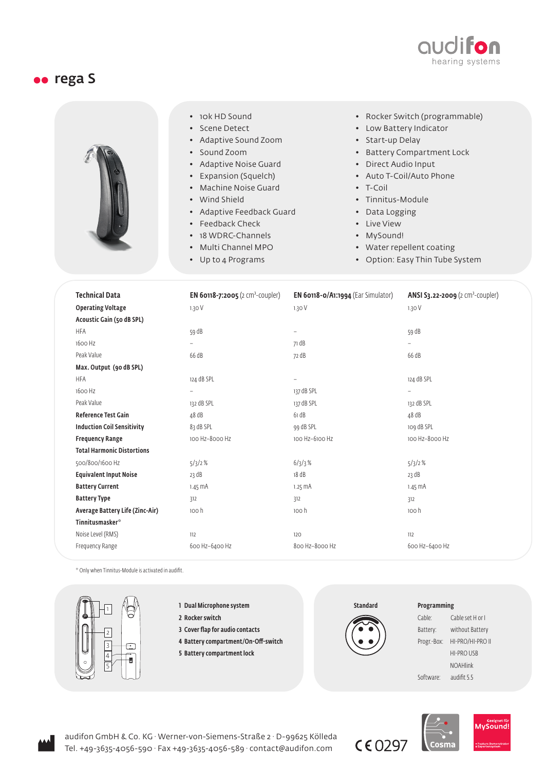

## oo rega S



- 10k HD Sound
- Scene Detect
- Adaptive Sound Zoom
- Sound Zoom
- Adaptive Noise Guard
- Expansion (Squelch)
- Machine Noise Guard
- Wind Shield
- Adaptive Feedback Guard
- Feedback Check
- 18 WDRC-Channels
- Multi Channel MPO
- Up to 4 Programs
- Rocker Switch (programmable)
- Low Battery Indicator
- Start-up Delay
- Battery Compartment Lock
- Direct Audio Input
- Auto T-Coil/Auto Phone
- T-Coil
- Tinnitus-Module
- Data Logging
- Live View
- MySound!
- Water repellent coating
- Option: Easy Thin Tube System

| <b>Technical Data</b><br><b>Operating Voltage</b> | <b>EN 60118-7:2005</b> (2 cm <sup>3</sup> -coupler)<br>1.30V | <b>EN 60118-0/A1:1994</b> (Ear Simulator)<br>1.30 V | <b>ANSI S3.22-2009</b> ( $2 \text{ cm}^3$ -coupler)<br>1.30V |
|---------------------------------------------------|--------------------------------------------------------------|-----------------------------------------------------|--------------------------------------------------------------|
| Acoustic Gain (50 dB SPL)<br><b>HFA</b>           | 59 dB                                                        | -                                                   | 59 dB                                                        |
| 1600 Hz                                           | $\overline{\phantom{0}}$                                     | 71 dB                                               | $\overline{\phantom{0}}$                                     |
| Peak Value                                        | 66 dB                                                        | 72 dB                                               | 66 dB                                                        |
| Max. Output (90 dB SPL)                           |                                                              |                                                     |                                                              |
| <b>HFA</b>                                        | 124 dB SPL                                                   | $\qquad \qquad -$                                   | 124 dB SPL                                                   |
| 1600 Hz                                           | $\overline{a}$                                               | 137 dB SPL                                          | $\overline{\phantom{0}}$                                     |
| Peak Value                                        | 132 dB SPL                                                   | 137 dB SPL                                          | 132 dB SPL                                                   |
| <b>Reference Test Gain</b>                        | 48 dB                                                        | 61 dB                                               | 48 dB                                                        |
| <b>Induction Coil Sensitivity</b>                 | 83 dB SPL                                                    | 99 dB SPL                                           | 109 dB SPL                                                   |
| <b>Frequency Range</b>                            | 100 Hz-8000 Hz                                               | 100 Hz-6100 Hz                                      | 100 Hz-8000 Hz                                               |
| <b>Total Harmonic Distortions</b>                 |                                                              |                                                     |                                                              |
| 500/800/1600 Hz                                   | 5/3/2%                                                       | 6/3/3%                                              | 5/3/2%                                                       |
| <b>Equivalent Input Noise</b>                     | 23 dB                                                        | 18 dB                                               | 23 dB                                                        |
| <b>Battery Current</b>                            | $1.45 \text{ mA}$                                            | $1.25 \text{ mA}$                                   | $1.45 \, \text{mA}$                                          |
| <b>Battery Type</b>                               | 312                                                          | 312                                                 | 312                                                          |
| Average Battery Life (Zinc-Air)                   | 100 h                                                        | 100 h                                               | 100 h                                                        |
| Tinnitusmasker <sup>®</sup>                       |                                                              |                                                     |                                                              |
| Noise Level (RMS)                                 | 112                                                          | 120                                                 | 112                                                          |
| Frequency Range                                   | 600 Hz-6400 Hz                                               | 800 Hz-8000 Hz                                      | 600 Hz-6400 Hz                                               |

\* Only when Tinnitus-Module is activated in audifit.



- 1 Dual Microphone system
- 2 Rocker switch
- 3 Cover flap for audio contacts
- 4 Battery compartment/On-Off-switch
- 5 Battery compartment lock

Standard

 $C$ <sub>6</sub>0297

## Programming

| Cable:      | Cable set H or I  |  |
|-------------|-------------------|--|
| Battery:    | without Battery   |  |
| Progr.-Box: | HI-PRO/HI-PRO II  |  |
|             | <b>HI-PRO USB</b> |  |
|             | <b>NOAHlink</b>   |  |
| Software:   | audifit 5.5       |  |



audifon GmbH & Co. KG · Werner-von-Siemens-Straße 2 · D-99625 Kölleda Tel. +49-3635-4056-590 · Fax +49-3635-4056-589 · contact@audifon.com